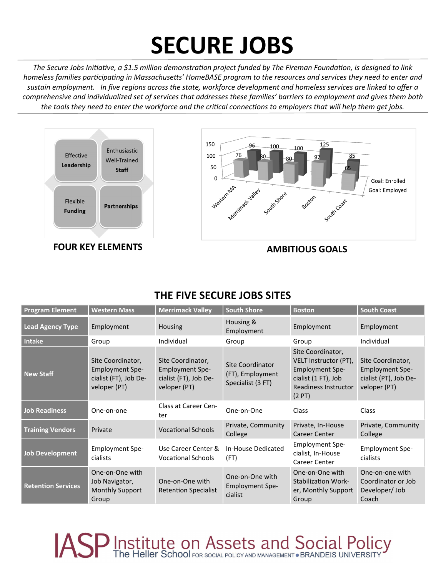# **SECURE JOBS**

*The Secure Jobs Initiative, a \$1.5 million demonstration project funded by The Fireman Foundation, is designed to link homeless families participating in Massachusetts' HomeBASE program to the resources and services they need to enter and sustain employment. In five regions across the state, workforce development and homeless services are linked to offer a comprehensive and individualized set of services that addresses these families' barriers to employment and gives them both the tools they need to enter the workforce and the critical connections to employers that will help them get jobs.* 



### **THE FIVE SECURE JOBS SITES**

| <b>Program Element</b>    | <b>Western Mass</b>                                                                  | <b>Merrimack Valley</b>                                                              | <b>South Shore</b>                                        | <b>Boston</b>                                                                                                                | <b>South Coast</b>                                                                   |
|---------------------------|--------------------------------------------------------------------------------------|--------------------------------------------------------------------------------------|-----------------------------------------------------------|------------------------------------------------------------------------------------------------------------------------------|--------------------------------------------------------------------------------------|
| <b>Lead Agency Type</b>   | Employment                                                                           | <b>Housing</b>                                                                       | Housing &<br>Employment                                   | Employment                                                                                                                   | Employment                                                                           |
| <b>Intake</b>             | Group                                                                                | Individual                                                                           | Group                                                     | Group                                                                                                                        | Individual                                                                           |
| <b>New Staff</b>          | Site Coordinator,<br><b>Employment Spe-</b><br>cialist (FT), Job De-<br>veloper (PT) | Site Coordinator,<br><b>Employment Spe-</b><br>cialist (FT), Job De-<br>veloper (PT) | Site Coordinator<br>(FT), Employment<br>Specialist (3 FT) | Site Coordinator,<br>VELT Instructor (PT),<br><b>Employment Spe-</b><br>cialist (1 FT), Job<br>Readiness Instructor<br>(2PT) | Site Coordinator,<br><b>Employment Spe-</b><br>cialist (PT), Job De-<br>veloper (PT) |
| <b>Job Readiness</b>      | One-on-one                                                                           | Class at Career Cen-<br>ter                                                          | One-on-One                                                | <b>Class</b>                                                                                                                 | Class                                                                                |
| <b>Training Vendors</b>   | Private                                                                              | <b>Vocational Schools</b>                                                            | Private, Community<br>College                             | Private, In-House<br><b>Career Center</b>                                                                                    | Private, Community<br>College                                                        |
| <b>Job Development</b>    | <b>Employment Spe-</b><br>cialists                                                   | Use Career Center &<br><b>Vocational Schools</b>                                     | In-House Dedicated<br>(FT)                                | <b>Employment Spe-</b><br>cialist, In-House<br>Career Center                                                                 | <b>Employment Spe-</b><br>cialists                                                   |
| <b>Retention Services</b> | One-on-One with<br>Job Navigator,<br><b>Monthly Support</b><br>Group                 | One-on-One with<br><b>Retention Specialist</b>                                       | One-on-One with<br><b>Employment Spe-</b><br>cialist      | One-on-One with<br><b>Stabilization Work-</b><br>er, Monthly Support<br>Group                                                | One-on-one with<br>Coordinator or Job<br>Developer/Job<br>Coach                      |

**JASP Institute on Assets and Social Policy**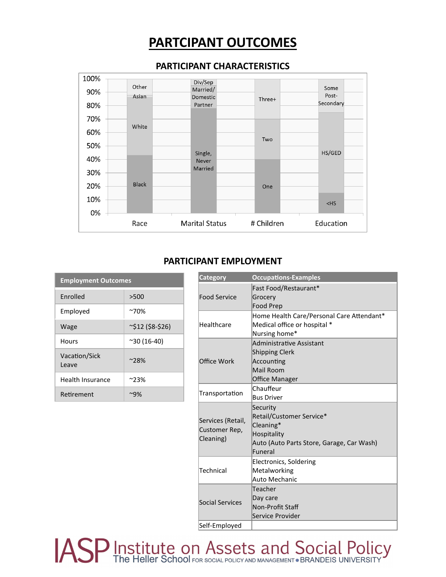## **PARTCIPANT OUTCOMES**



#### **PARTICIPANT CHARACTERISTICS**

#### **PARTICIPANT EMPLOYMENT**

| <b>Employment Outcomes</b> |                        |  |  |  |
|----------------------------|------------------------|--|--|--|
| <b>Fnrolled</b>            | >500                   |  |  |  |
| Employed                   | $~70\%$                |  |  |  |
| Wage                       | $\sim$ \$12 (\$8-\$26) |  |  |  |
| Hours                      | $^{\sim}30(16-40)$     |  |  |  |
| Vacation/Sick<br>Leave     | $^{\sim}$ 28%          |  |  |  |
| <b>Health Insurance</b>    | $~23\%$                |  |  |  |
| Retirement                 | ~9%                    |  |  |  |

| <b>Category</b>                                 | <b>Occupations-Examples</b>                                                                                              |
|-------------------------------------------------|--------------------------------------------------------------------------------------------------------------------------|
| <b>Food Service</b>                             | Fast Food/Restaurant*<br>Grocery<br><b>Food Prep</b>                                                                     |
| Healthcare                                      | Home Health Care/Personal Care Attendant*<br>Medical office or hospital *<br>Nursing home*                               |
| Office Work                                     | Administrative Assistant<br><b>Shipping Clerk</b><br>Accounting<br>Mail Room<br><b>Office Manager</b>                    |
| Transportation                                  | Chauffeur<br><b>Bus Driver</b>                                                                                           |
| Services (Retail,<br>Customer Rep,<br>Cleaning) | Security<br>Retail/Customer Service*<br>Cleaning*<br>Hospitality<br>Auto (Auto Parts Store, Garage, Car Wash)<br>Funeral |
| Technical                                       | <b>Electronics, Soldering</b><br>Metalworking<br>Auto Mechanic                                                           |
| Social Services                                 | Teacher<br>Day care<br>Non-Profit Staff<br>Service Provider                                                              |
| Self-Emploved                                   |                                                                                                                          |

**JASP** Institute on Assets and Social Policy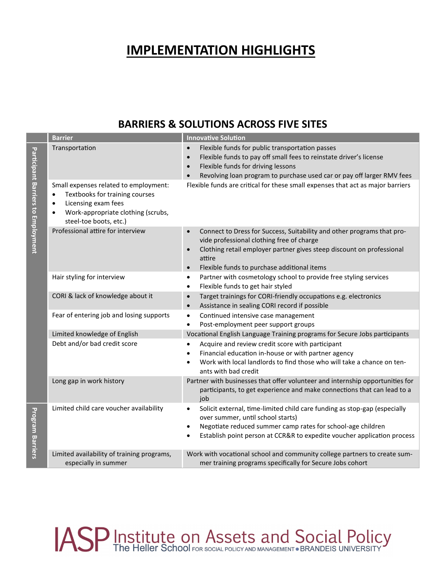## **IMPLEMENTATION HIGHLIGHTS**

### **BARRIERS & SOLUTIONS ACROSS FIVE SITES**

|                                    | <b>Barrier</b>                                                                                                                                                                   | <b>Innovative Solution</b>                                                                                                                                                                                                                                                                                                                                      |  |  |
|------------------------------------|----------------------------------------------------------------------------------------------------------------------------------------------------------------------------------|-----------------------------------------------------------------------------------------------------------------------------------------------------------------------------------------------------------------------------------------------------------------------------------------------------------------------------------------------------------------|--|--|
| Participant Barriers to Employment | Transportation<br>Small expenses related to employment:<br>Textbooks for training courses<br>Licensing exam fees<br>$\bullet$<br>Work-appropriate clothing (scrubs,<br>$\bullet$ | Flexible funds for public transportation passes<br>$\bullet$<br>Flexible funds to pay off small fees to reinstate driver's license<br>$\bullet$<br>Flexible funds for driving lessons<br>$\bullet$<br>Revolving loan program to purchase used car or pay off larger RMV fees<br>Flexible funds are critical for these small expenses that act as major barriers |  |  |
|                                    | steel-toe boots, etc.)<br>Professional attire for interview                                                                                                                      | Connect to Dress for Success, Suitability and other programs that pro-<br>$\bullet$<br>vide professional clothing free of charge<br>Clothing retail employer partner gives steep discount on professional<br>$\bullet$<br>attire<br>Flexible funds to purchase additional items<br>$\bullet$                                                                    |  |  |
|                                    | Hair styling for interview                                                                                                                                                       | Partner with cosmetology school to provide free styling services<br>$\bullet$<br>Flexible funds to get hair styled<br>$\bullet$                                                                                                                                                                                                                                 |  |  |
|                                    | CORI & lack of knowledge about it                                                                                                                                                | Target trainings for CORI-friendly occupations e.g. electronics<br>$\bullet$<br>Assistance in sealing CORI record if possible<br>$\bullet$                                                                                                                                                                                                                      |  |  |
|                                    | Fear of entering job and losing supports                                                                                                                                         | Continued intensive case management<br>$\bullet$<br>Post-employment peer support groups<br>$\bullet$                                                                                                                                                                                                                                                            |  |  |
|                                    | Limited knowledge of English                                                                                                                                                     | Vocational English Language Training programs for Secure Jobs participants                                                                                                                                                                                                                                                                                      |  |  |
|                                    | Debt and/or bad credit score                                                                                                                                                     | Acquire and review credit score with participant<br>Financial education in-house or with partner agency<br>Work with local landlords to find those who will take a chance on ten-<br>ants with bad credit                                                                                                                                                       |  |  |
|                                    | Long gap in work history                                                                                                                                                         | Partner with businesses that offer volunteer and internship opportunities for<br>participants, to get experience and make connections that can lead to a<br>job                                                                                                                                                                                                 |  |  |
| Program Barriers                   | Limited child care voucher availability                                                                                                                                          | Solicit external, time-limited child care funding as stop-gap (especially<br>$\bullet$<br>over summer, until school starts)<br>Negotiate reduced summer camp rates for school-age children<br>$\bullet$<br>Establish point person at CCR&R to expedite voucher application process<br>$\bullet$                                                                 |  |  |
|                                    | Limited availability of training programs,<br>especially in summer                                                                                                               | Work with vocational school and community college partners to create sum-<br>mer training programs specifically for Secure Jobs cohort                                                                                                                                                                                                                          |  |  |

# ASP Institute on Assets and Social Policy